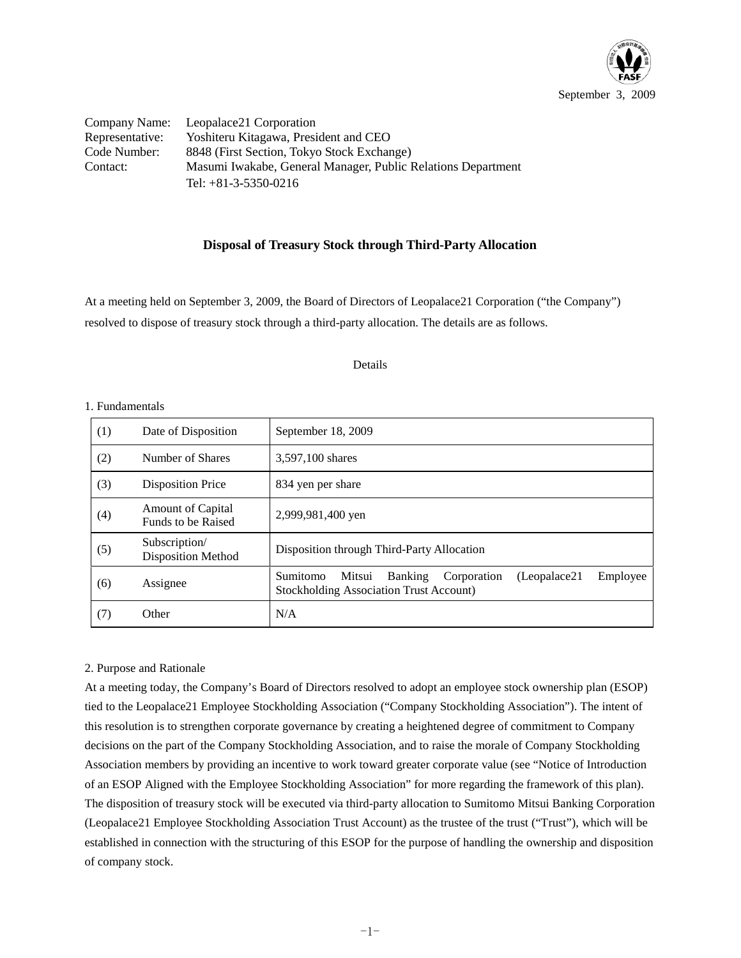

Company Name: Leopalace21 Corporation Representative: Yoshiteru Kitagawa, President and CEO Code Number: 8848 (First Section, Tokyo Stock Exchange) Contact: Masumi Iwakabe, General Manager, Public Relations Department Tel: +81-3-5350-0216

## **Disposal of Treasury Stock through Third-Party Allocation**

At a meeting held on September 3, 2009, the Board of Directors of Leopalace21 Corporation ("the Company") resolved to dispose of treasury stock through a third-party allocation. The details are as follows.

#### Details

| (1) | Date of Disposition                            | September 18, 2009                                                                                                                 |
|-----|------------------------------------------------|------------------------------------------------------------------------------------------------------------------------------------|
| (2) | Number of Shares                               | 3,597,100 shares                                                                                                                   |
| (3) | <b>Disposition Price</b>                       | 834 yen per share                                                                                                                  |
| (4) | <b>Amount of Capital</b><br>Funds to be Raised | 2,999,981,400 yen                                                                                                                  |
| (5) | Subscription/<br><b>Disposition Method</b>     | Disposition through Third-Party Allocation                                                                                         |
| (6) | Assignee                                       | (Leopalace21)<br>Employee<br>Sumitomo<br>Mitsui<br><b>Banking</b><br>Corporation<br><b>Stockholding Association Trust Account)</b> |
| (7) | Other                                          | N/A                                                                                                                                |

#### 1. Fundamentals

### 2. Purpose and Rationale

At a meeting today, the Company's Board of Directors resolved to adopt an employee stock ownership plan (ESOP) tied to the Leopalace21 Employee Stockholding Association ("Company Stockholding Association"). The intent of this resolution is to strengthen corporate governance by creating a heightened degree of commitment to Company decisions on the part of the Company Stockholding Association, and to raise the morale of Company Stockholding Association members by providing an incentive to work toward greater corporate value (see "Notice of Introduction of an ESOP Aligned with the Employee Stockholding Association" for more regarding the framework of this plan). The disposition of treasury stock will be executed via third-party allocation to Sumitomo Mitsui Banking Corporation (Leopalace21 Employee Stockholding Association Trust Account) as the trustee of the trust ("Trust"), which will be established in connection with the structuring of this ESOP for the purpose of handling the ownership and disposition of company stock.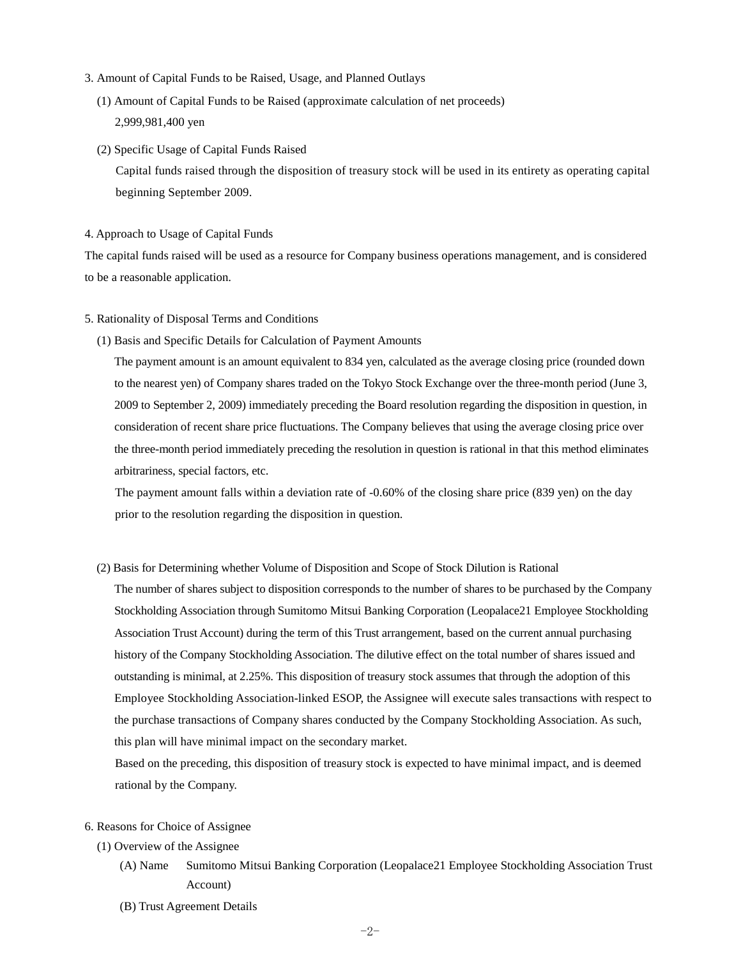- 3. Amount of Capital Funds to be Raised, Usage, and Planned Outlays
	- (1) Amount of Capital Funds to be Raised (approximate calculation of net proceeds) 2,999,981,400 yen
	- (2) Specific Usage of Capital Funds Raised Capital funds raised through the disposition of treasury stock will be used in its entirety as operating capital beginning September 2009.

#### 4. Approach to Usage of Capital Funds

The capital funds raised will be used as a resource for Company business operations management, and is considered to be a reasonable application.

- 5. Rationality of Disposal Terms and Conditions
	- (1) Basis and Specific Details for Calculation of Payment Amounts

The payment amount is an amount equivalent to 834 yen, calculated as the average closing price (rounded down to the nearest yen) of Company shares traded on the Tokyo Stock Exchange over the three-month period (June 3, 2009 to September 2, 2009) immediately preceding the Board resolution regarding the disposition in question, in consideration of recent share price fluctuations. The Company believes that using the average closing price over the three-month period immediately preceding the resolution in question is rational in that this method eliminates arbitrariness, special factors, etc.

The payment amount falls within a deviation rate of -0.60% of the closing share price (839 yen) on the day prior to the resolution regarding the disposition in question.

(2) Basis for Determining whether Volume of Disposition and Scope of Stock Dilution is Rational

The number of shares subject to disposition corresponds to the number of shares to be purchased by the Company Stockholding Association through Sumitomo Mitsui Banking Corporation (Leopalace21 Employee Stockholding Association Trust Account) during the term of this Trust arrangement, based on the current annual purchasing history of the Company Stockholding Association. The dilutive effect on the total number of shares issued and outstanding is minimal, at 2.25%. This disposition of treasury stock assumes that through the adoption of this Employee Stockholding Association-linked ESOP, the Assignee will execute sales transactions with respect to the purchase transactions of Company shares conducted by the Company Stockholding Association. As such, this plan will have minimal impact on the secondary market.

Based on the preceding, this disposition of treasury stock is expected to have minimal impact, and is deemed rational by the Company.

#### 6. Reasons for Choice of Assignee

- (1) Overview of the Assignee
	- (A) Name Sumitomo Mitsui Banking Corporation (Leopalace21 Employee Stockholding Association Trust Account)
	- (B) Trust Agreement Details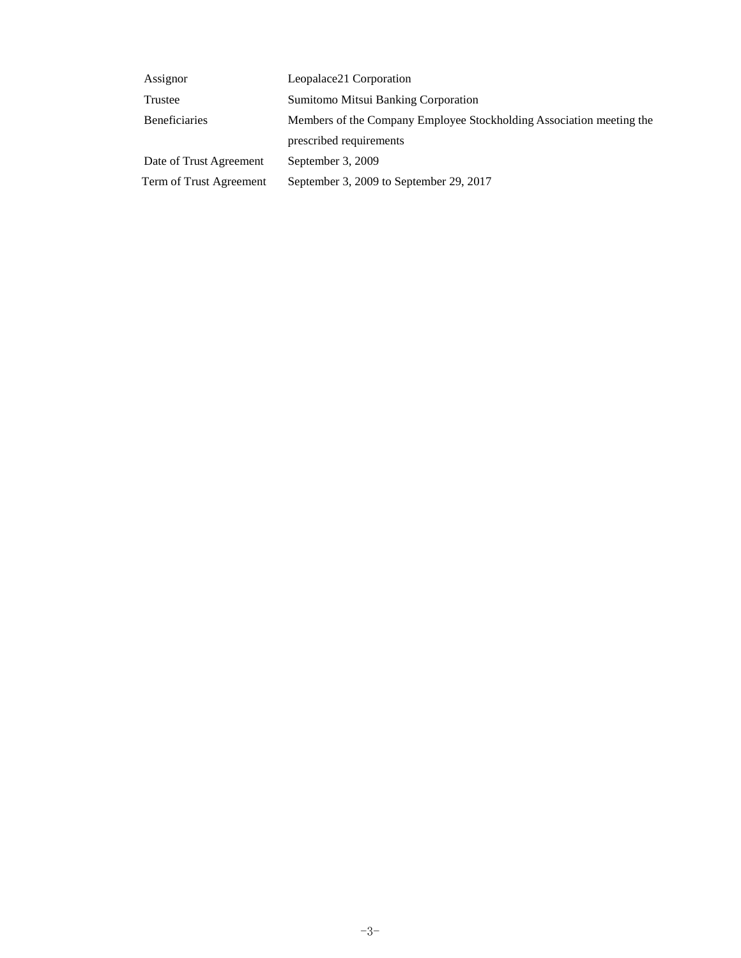| Assignor                | Leopalace21 Corporation                                              |
|-------------------------|----------------------------------------------------------------------|
| Trustee                 | Sumitomo Mitsui Banking Corporation                                  |
| <b>Beneficiaries</b>    | Members of the Company Employee Stockholding Association meeting the |
|                         | prescribed requirements                                              |
| Date of Trust Agreement | September 3, 2009                                                    |
| Term of Trust Agreement | September 3, 2009 to September 29, 2017                              |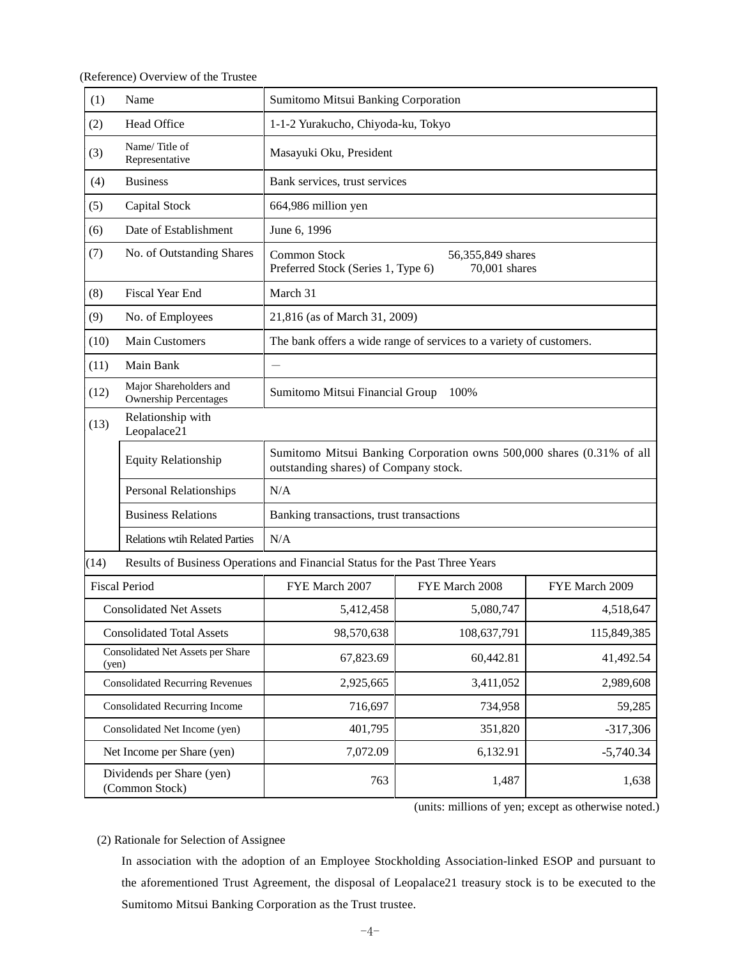(Reference) Overview of the Trustee

| (1)                                                                                  | Name                                                   | Sumitomo Mitsui Banking Corporation                                                                            |                                                                          |                |  |  |
|--------------------------------------------------------------------------------------|--------------------------------------------------------|----------------------------------------------------------------------------------------------------------------|--------------------------------------------------------------------------|----------------|--|--|
| (2)                                                                                  | <b>Head Office</b>                                     | 1-1-2 Yurakucho, Chiyoda-ku, Tokyo                                                                             |                                                                          |                |  |  |
| (3)                                                                                  | Name/Title of<br>Representative                        | Masayuki Oku, President                                                                                        |                                                                          |                |  |  |
| (4)                                                                                  | <b>Business</b>                                        | Bank services, trust services                                                                                  |                                                                          |                |  |  |
| (5)                                                                                  | Capital Stock                                          | 664,986 million yen                                                                                            |                                                                          |                |  |  |
| (6)                                                                                  | Date of Establishment                                  | June 6, 1996                                                                                                   |                                                                          |                |  |  |
| (7)                                                                                  | No. of Outstanding Shares                              | Common Stock                                                                                                   | 56,355,849 shares<br>Preferred Stock (Series 1, Type 6)<br>70,001 shares |                |  |  |
| (8)                                                                                  | <b>Fiscal Year End</b>                                 | March 31                                                                                                       |                                                                          |                |  |  |
| (9)                                                                                  | No. of Employees                                       | 21,816 (as of March 31, 2009)                                                                                  |                                                                          |                |  |  |
| (10)                                                                                 | <b>Main Customers</b>                                  |                                                                                                                | The bank offers a wide range of services to a variety of customers.      |                |  |  |
| (11)                                                                                 | Main Bank                                              |                                                                                                                |                                                                          |                |  |  |
| (12)                                                                                 | Major Shareholders and<br><b>Ownership Percentages</b> | Sumitomo Mitsui Financial Group<br>100%                                                                        |                                                                          |                |  |  |
| (13)                                                                                 | Relationship with<br>Leopalace21                       |                                                                                                                |                                                                          |                |  |  |
|                                                                                      | <b>Equity Relationship</b>                             | Sumitomo Mitsui Banking Corporation owns 500,000 shares (0.31% of all<br>outstanding shares) of Company stock. |                                                                          |                |  |  |
|                                                                                      | <b>Personal Relationships</b>                          | N/A                                                                                                            |                                                                          |                |  |  |
|                                                                                      | <b>Business Relations</b>                              | Banking transactions, trust transactions                                                                       |                                                                          |                |  |  |
| <b>Relations wtih Related Parties</b>                                                |                                                        | N/A                                                                                                            |                                                                          |                |  |  |
| Results of Business Operations and Financial Status for the Past Three Years<br>(14) |                                                        |                                                                                                                |                                                                          |                |  |  |
|                                                                                      | <b>Fiscal Period</b>                                   | FYE March 2007                                                                                                 | FYE March 2008                                                           | FYE March 2009 |  |  |
|                                                                                      | <b>Consolidated Net Assets</b>                         | 5,412,458                                                                                                      | 5,080,747                                                                | 4,518,647      |  |  |
|                                                                                      | <b>Consolidated Total Assets</b>                       | 98,570,638                                                                                                     | 108,637,791                                                              | 115,849,385    |  |  |
| Consolidated Net Assets per Share<br>(yen)                                           |                                                        | 67,823.69                                                                                                      | 60,442.81                                                                | 41,492.54      |  |  |
| <b>Consolidated Recurring Revenues</b>                                               |                                                        | 2,925,665                                                                                                      | 3,411,052                                                                | 2,989,608      |  |  |
| <b>Consolidated Recurring Income</b>                                                 |                                                        | 716,697                                                                                                        | 734,958                                                                  | 59,285         |  |  |
| Consolidated Net Income (yen)                                                        |                                                        | 401,795                                                                                                        | 351,820                                                                  | $-317,306$     |  |  |
|                                                                                      | Net Income per Share (yen)                             | 7,072.09                                                                                                       | 6,132.91                                                                 | $-5,740.34$    |  |  |
| Dividends per Share (yen)<br>(Common Stock)                                          |                                                        | 763                                                                                                            | 1,487                                                                    | 1,638          |  |  |

(units: millions of yen; except as otherwise noted.)

### (2) Rationale for Selection of Assignee

In association with the adoption of an Employee Stockholding Association-linked ESOP and pursuant to the aforementioned Trust Agreement, the disposal of Leopalace21 treasury stock is to be executed to the Sumitomo Mitsui Banking Corporation as the Trust trustee.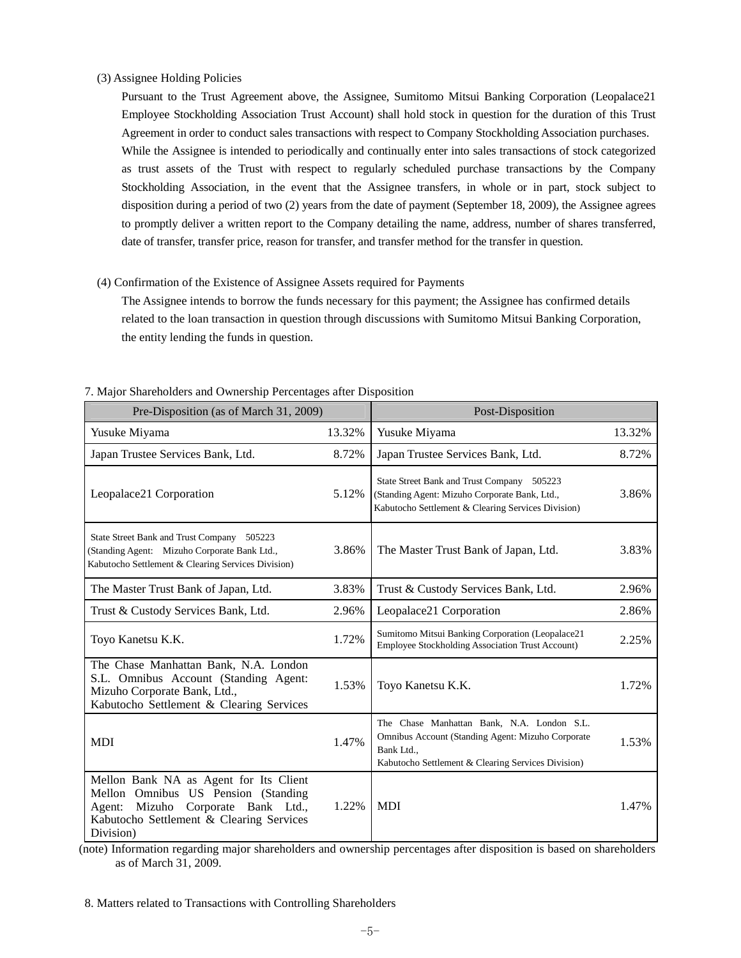#### (3) Assignee Holding Policies

Pursuant to the Trust Agreement above, the Assignee, Sumitomo Mitsui Banking Corporation (Leopalace21 Employee Stockholding Association Trust Account) shall hold stock in question for the duration of this Trust Agreement in order to conduct sales transactions with respect to Company Stockholding Association purchases. While the Assignee is intended to periodically and continually enter into sales transactions of stock categorized as trust assets of the Trust with respect to regularly scheduled purchase transactions by the Company Stockholding Association, in the event that the Assignee transfers, in whole or in part, stock subject to disposition during a period of two (2) years from the date of payment (September 18, 2009), the Assignee agrees to promptly deliver a written report to the Company detailing the name, address, number of shares transferred, date of transfer, transfer price, reason for transfer, and transfer method for the transfer in question.

#### (4) Confirmation of the Existence of Assignee Assets required for Payments

The Assignee intends to borrow the funds necessary for this payment; the Assignee has confirmed details related to the loan transaction in question through discussions with Sumitomo Mitsui Banking Corporation, the entity lending the funds in question.

| Pre-Disposition (as of March 31, 2009)                                                                                                                                             |        | Post-Disposition                                                                                                                                                    |        |
|------------------------------------------------------------------------------------------------------------------------------------------------------------------------------------|--------|---------------------------------------------------------------------------------------------------------------------------------------------------------------------|--------|
| Yusuke Miyama                                                                                                                                                                      | 13.32% | Yusuke Miyama                                                                                                                                                       | 13.32% |
| Japan Trustee Services Bank, Ltd.                                                                                                                                                  | 8.72%  | Japan Trustee Services Bank, Ltd.                                                                                                                                   | 8.72%  |
| Leopalace21 Corporation                                                                                                                                                            | 5.12%  | State Street Bank and Trust Company 505223<br>(Standing Agent: Mizuho Corporate Bank, Ltd.,<br>Kabutocho Settlement & Clearing Services Division)                   | 3.86%  |
| State Street Bank and Trust Company 505223<br>(Standing Agent: Mizuho Corporate Bank Ltd.,<br>Kabutocho Settlement & Clearing Services Division)                                   | 3.86%  | The Master Trust Bank of Japan, Ltd.                                                                                                                                | 3.83%  |
| The Master Trust Bank of Japan, Ltd.                                                                                                                                               | 3.83%  | Trust & Custody Services Bank, Ltd.                                                                                                                                 | 2.96%  |
| Trust & Custody Services Bank, Ltd.                                                                                                                                                | 2.96%  | Leopalace21 Corporation                                                                                                                                             | 2.86%  |
| Toyo Kanetsu K.K.                                                                                                                                                                  | 1.72%  | Sumitomo Mitsui Banking Corporation (Leopalace21<br>Employee Stockholding Association Trust Account)                                                                | 2.25%  |
| The Chase Manhattan Bank, N.A. London<br>S.L. Omnibus Account (Standing Agent:<br>Mizuho Corporate Bank, Ltd.,<br>Kabutocho Settlement & Clearing Services                         | 1.53%  | Toyo Kanetsu K.K.                                                                                                                                                   | 1.72%  |
| MDI                                                                                                                                                                                | 1.47%  | The Chase Manhattan Bank, N.A. London S.L.<br>Omnibus Account (Standing Agent: Mizuho Corporate<br>Bank Ltd.,<br>Kabutocho Settlement & Clearing Services Division) | 1.53%  |
| Mellon Bank NA as Agent for Its Client<br>Mellon Omnibus US Pension (Standing<br>Mizuho<br>Corporate Bank Ltd.,<br>Agent:<br>Kabutocho Settlement & Clearing Services<br>Division) | 1.22%  | <b>MDI</b>                                                                                                                                                          | 1.47%  |

7. Major Shareholders and Ownership Percentages after Disposition

(note) Information regarding major shareholders and ownership percentages after disposition is based on shareholders as of March 31, 2009.

8. Matters related to Transactions with Controlling Shareholders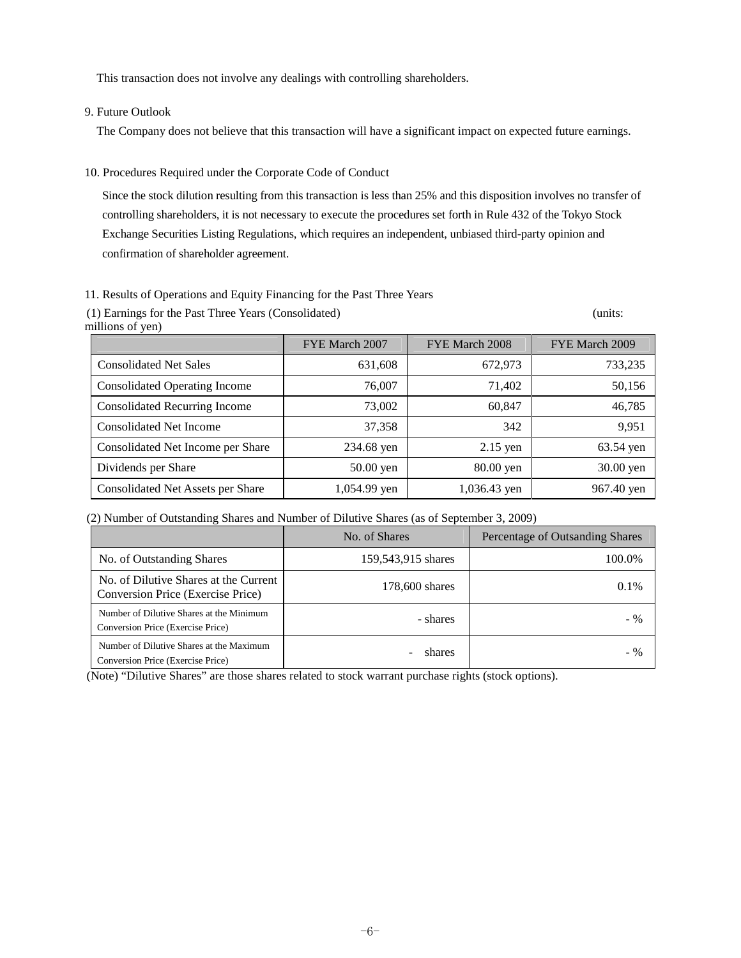This transaction does not involve any dealings with controlling shareholders.

9. Future Outlook

The Company does not believe that this transaction will have a significant impact on expected future earnings.

10. Procedures Required under the Corporate Code of Conduct

Since the stock dilution resulting from this transaction is less than 25% and this disposition involves no transfer of controlling shareholders, it is not necessary to execute the procedures set forth in Rule 432 of the Tokyo Stock Exchange Securities Listing Regulations, which requires an independent, unbiased third-party opinion and confirmation of shareholder agreement.

#### 11. Results of Operations and Equity Financing for the Past Three Years

(1) Earnings for the Past Three Years (Consolidated) (units: millions of yen)

|                                      | FYE March 2007 | FYE March 2008 | FYE March 2009 |
|--------------------------------------|----------------|----------------|----------------|
| <b>Consolidated Net Sales</b>        | 631,608        | 672,973        | 733,235        |
| <b>Consolidated Operating Income</b> | 76,007         | 71,402         | 50,156         |
| <b>Consolidated Recurring Income</b> | 73,002         | 60,847         | 46,785         |
| <b>Consolidated Net Income</b>       | 37,358         | 342            | 9,951          |
| Consolidated Net Income per Share    | 234.68 yen     | $2.15$ yen     | 63.54 yen      |
| Dividends per Share                  | 50.00 yen      | 80.00 yen      | 30.00 yen      |
| Consolidated Net Assets per Share    | 1,054.99 yen   | 1,036.43 yen   | 967.40 yen     |

(2) Number of Outstanding Shares and Number of Dilutive Shares (as of September 3, 2009)

|                                                                               | No. of Shares      | Percentage of Outsanding Shares |
|-------------------------------------------------------------------------------|--------------------|---------------------------------|
| No. of Outstanding Shares                                                     | 159,543,915 shares | 100.0%                          |
| No. of Dilutive Shares at the Current<br>Conversion Price (Exercise Price)    | 178,600 shares     | $0.1\%$                         |
| Number of Dilutive Shares at the Minimum<br>Conversion Price (Exercise Price) | - shares           | $-$ %                           |
| Number of Dilutive Shares at the Maximum<br>Conversion Price (Exercise Price) | shares             | $-$ %                           |

(Note) "Dilutive Shares" are those shares related to stock warrant purchase rights (stock options).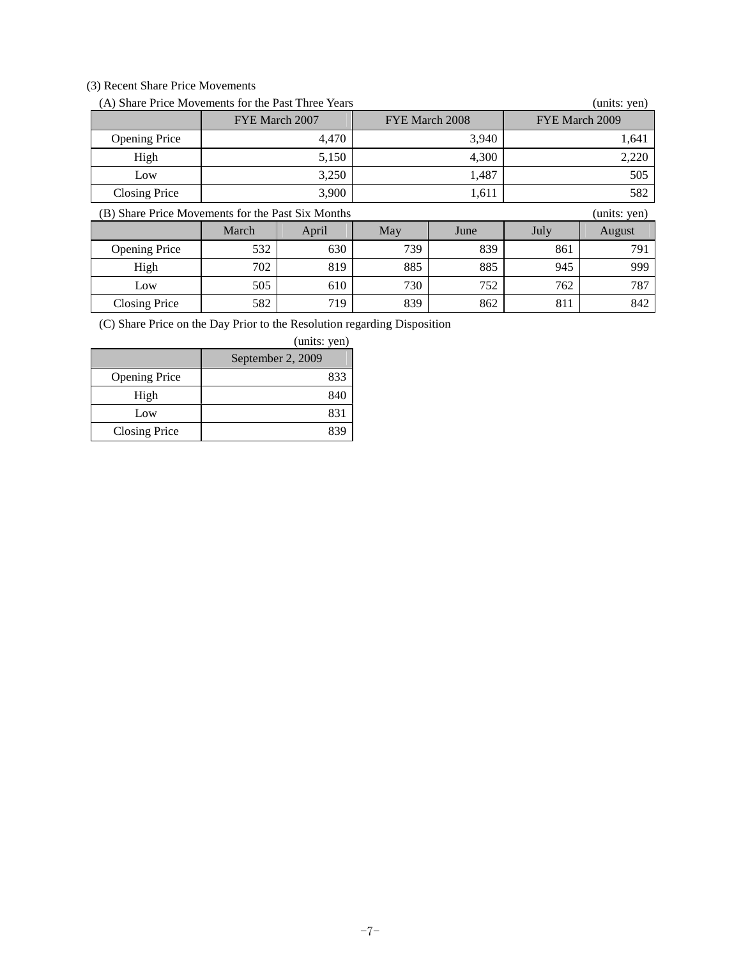# (3) Recent Share Price Movements

| (A) Share Price Movements for the Past Three Years<br>(units: yen) |                |       |                |       |                |              |
|--------------------------------------------------------------------|----------------|-------|----------------|-------|----------------|--------------|
|                                                                    | FYE March 2007 |       | FYE March 2008 |       | FYE March 2009 |              |
| <b>Opening Price</b>                                               |                | 4,470 |                | 3,940 |                | 1,641        |
| High                                                               |                | 5,150 |                | 4,300 |                | 2,220        |
| Low                                                                | 3,250          |       |                | 1,487 |                | 505          |
| <b>Closing Price</b>                                               |                | 3,900 | 1,611          |       | 582            |              |
| (B) Share Price Movements for the Past Six Months                  |                |       |                |       |                | (units: yen) |
|                                                                    | March          | April | May            | June  | July           | August       |
| <b>Opening Price</b>                                               | 532            | 630   | 739            | 839   | 861            | 791          |
| High                                                               | 702            | 819   | 885            | 885   | 945            | 999          |
|                                                                    |                |       |                |       |                |              |
| Low                                                                | 505            | 610   | 730            | 752   | 762            | 787          |

(C) Share Price on the Day Prior to the Resolution regarding Disposition

|                      | (units: yen)      |
|----------------------|-------------------|
|                      | September 2, 2009 |
| <b>Opening Price</b> | 833               |
| High                 | 840               |
| Low                  | 831               |
| <b>Closing Price</b> |                   |